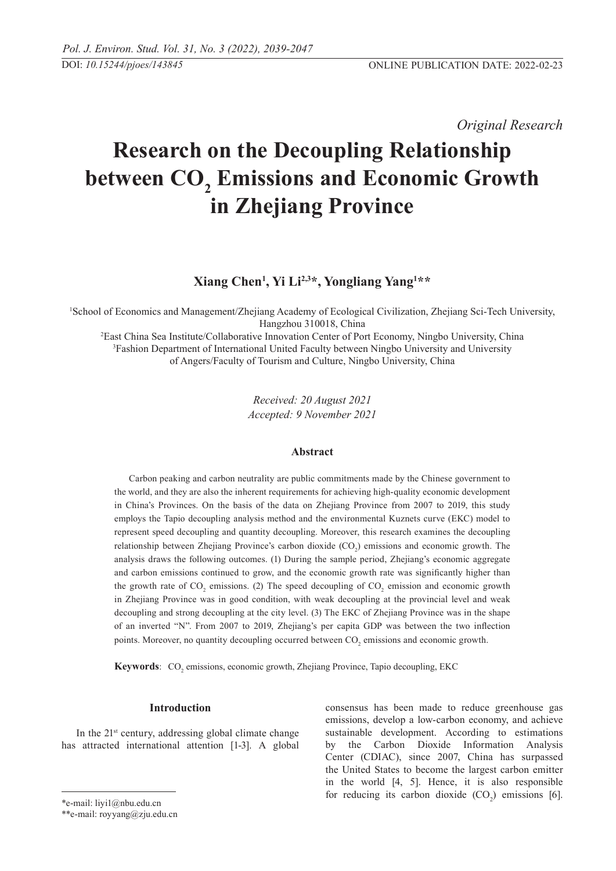*Original Research* 

# **Research on the Decoupling Relationship**  between  $\mathbf{CO}_{2}$  Emissions and Economic Growth **in Zhejiang Province**

## **Xiang Chen1 , Yi Li2,3\*, Yongliang Yang1 \*\***

1 School of Economics and Management/Zhejiang Academy of Ecological Civilization, Zhejiang Sci-Tech University, Hangzhou 310018, China

2 East China Sea Institute/Collaborative Innovation Center of Port Economy, Ningbo University, China 3 Fashion Department of International United Faculty between Ningbo University and University of Angers/Faculty of Tourism and Culture, Ningbo University, China

> *Received: 20 August 2021 Accepted: 9 November 2021*

### **Abstract**

Carbon peaking and carbon neutrality are public commitments made by the Chinese government to the world, and they are also the inherent requirements for achieving high-quality economic development in China's Provinces. On the basis of the data on Zhejiang Province from 2007 to 2019, this study employs the Tapio decoupling analysis method and the environmental Kuznets curve (EKC) model to represent speed decoupling and quantity decoupling. Moreover, this research examines the decoupling relationship between Zhejiang Province's carbon dioxide  $(CO<sub>2</sub>)$  emissions and economic growth. The analysis draws the following outcomes. (1) During the sample period, Zhejiang's economic aggregate and carbon emissions continued to grow, and the economic growth rate was significantly higher than the growth rate of  $CO_2$  emissions. (2) The speed decoupling of  $CO_2$  emission and economic growth in Zhejiang Province was in good condition, with weak decoupling at the provincial level and weak decoupling and strong decoupling at the city level. (3) The EKC of Zhejiang Province was in the shape of an inverted "N". From 2007 to 2019, Zhejiang's per capita GDP was between the two inflection points. Moreover, no quantity decoupling occurred between  $CO_2$  emissions and economic growth.

**Keywords**: CO<sub>2</sub> emissions, economic growth, Zhejiang Province, Tapio decoupling, EKC

#### **Introduction**

In the  $21^{st}$  century, addressing global climate change has attracted international attention [1-3]. A global

consensus has been made to reduce greenhouse gas emissions, develop a low-carbon economy, and achieve sustainable development. According to estimations by the Carbon Dioxide Information Analysis Center (CDIAC), since 2007, China has surpassed the United States to become the largest carbon emitter in the world [4, 5]. Hence, it is also responsible for reducing its carbon dioxide  $(CO_2)$  emissions [6].

<sup>\*</sup>e-mail: liyi1@nbu.edu.cn

<sup>\*\*</sup>e-mail: royyang@zju.edu.cn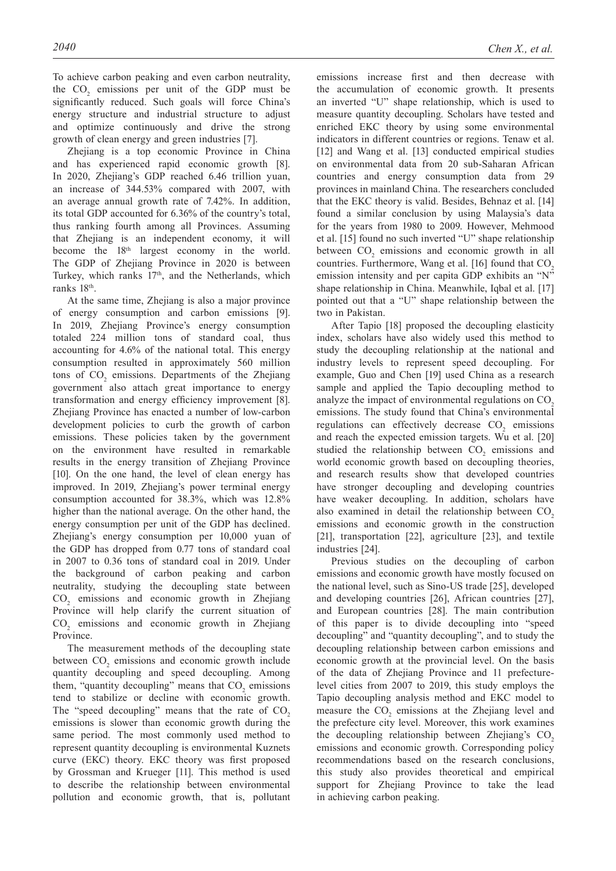To achieve carbon peaking and even carbon neutrality, the  $CO<sub>2</sub>$  emissions per unit of the GDP must be significantly reduced. Such goals will force China's energy structure and industrial structure to adjust and optimize continuously and drive the strong growth of clean energy and green industries [7].

Zhejiang is a top economic Province in China and has experienced rapid economic growth [8]. In 2020, Zhejiang's GDP reached 6.46 trillion yuan, an increase of 344.53% compared with 2007, with an average annual growth rate of 7.42%. In addition, its total GDP accounted for 6.36% of the country's total, thus ranking fourth among all Provinces. Assuming that Zhejiang is an independent economy, it will become the 18<sup>th</sup> largest economy in the world. The GDP of Zhejiang Province in 2020 is between Turkey, which ranks 17<sup>th</sup>, and the Netherlands, which ranks 18th.

At the same time, Zhejiang is also a major province of energy consumption and carbon emissions [9]. In 2019, Zhejiang Province's energy consumption totaled 224 million tons of standard coal, thus accounting for 4.6% of the national total. This energy consumption resulted in approximately 560 million tons of  $CO<sub>2</sub>$  emissions. Departments of the Zhejiang government also attach great importance to energy transformation and energy efficiency improvement [8]. Zhejiang Province has enacted a number of low-carbon development policies to curb the growth of carbon emissions. These policies taken by the government on the environment have resulted in remarkable results in the energy transition of Zhejiang Province [10]. On the one hand, the level of clean energy has improved. In 2019, Zhejiang's power terminal energy consumption accounted for 38.3%, which was 12.8% higher than the national average. On the other hand, the energy consumption per unit of the GDP has declined. Zhejiang's energy consumption per 10,000 yuan of the GDP has dropped from 0.77 tons of standard coal in 2007 to 0.36 tons of standard coal in 2019. Under the background of carbon peaking and carbon neutrality, studying the decoupling state between CO2 emissions and economic growth in Zhejiang Province will help clarify the current situation of CO2 emissions and economic growth in Zhejiang Province.

The measurement methods of the decoupling state between  $CO_2$  emissions and economic growth include quantity decoupling and speed decoupling. Among them, "quantity decoupling" means that  $CO<sub>2</sub>$  emissions tend to stabilize or decline with economic growth. The "speed decoupling" means that the rate of  $CO<sub>2</sub>$ emissions is slower than economic growth during the same period. The most commonly used method to represent quantity decoupling is environmental Kuznets curve (EKC) theory. EKC theory was first proposed by Grossman and Krueger [11]. This method is used to describe the relationship between environmental pollution and economic growth, that is, pollutant

emissions increase first and then decrease with the accumulation of economic growth. It presents an inverted "U" shape relationship, which is used to measure quantity decoupling. Scholars have tested and enriched EKC theory by using some environmental indicators in different countries or regions. Tenaw et al. [12] and Wang et al. [13] conducted empirical studies on environmental data from 20 sub-Saharan African countries and energy consumption data from 29 provinces in mainland China. The researchers concluded that the EKC theory is valid. Besides, Behnaz et al. [14] found a similar conclusion by using Malaysia's data for the years from 1980 to 2009. However, Mehmood et al. [15] found no such inverted "U" shape relationship between  $CO_2$  emissions and economic growth in all countries. Furthermore, Wang et al.  $[16]$  found that  $CO<sub>2</sub>$ emission intensity and per capita GDP exhibits an "N" shape relationship in China. Meanwhile, Iqbal et al. [17] pointed out that a "U" shape relationship between the two in Pakistan.

After Tapio [18] proposed the decoupling elasticity index, scholars have also widely used this method to study the decoupling relationship at the national and industry levels to represent speed decoupling. For example, Guo and Chen [19] used China as a research sample and applied the Tapio decoupling method to analyze the impact of environmental regulations on CO<sub>2</sub> emissions. The study found that China's environmental regulations can effectively decrease  $CO<sub>2</sub>$  emissions and reach the expected emission targets. Wu et al. [20] studied the relationship between  $CO<sub>2</sub>$  emissions and world economic growth based on decoupling theories, and research results show that developed countries have stronger decoupling and developing countries have weaker decoupling. In addition, scholars have also examined in detail the relationship between  $CO<sub>2</sub>$ emissions and economic growth in the construction [21], transportation [22], agriculture [23], and textile industries [24].

Previous studies on the decoupling of carbon emissions and economic growth have mostly focused on the national level, such as Sino-US trade [25], developed and developing countries [26], African countries [27], and European countries [28]. The main contribution of this paper is to divide decoupling into "speed decoupling" and "quantity decoupling", and to study the decoupling relationship between carbon emissions and economic growth at the provincial level. On the basis of the data of Zhejiang Province and 11 prefecturelevel cities from 2007 to 2019, this study employs the Tapio decoupling analysis method and EKC model to measure the  $CO<sub>2</sub>$  emissions at the Zhejiang level and the prefecture city level. Moreover, this work examines the decoupling relationship between Zhejiang's  $CO<sub>2</sub>$ emissions and economic growth. Corresponding policy recommendations based on the research conclusions, this study also provides theoretical and empirical support for Zhejiang Province to take the lead in achieving carbon peaking.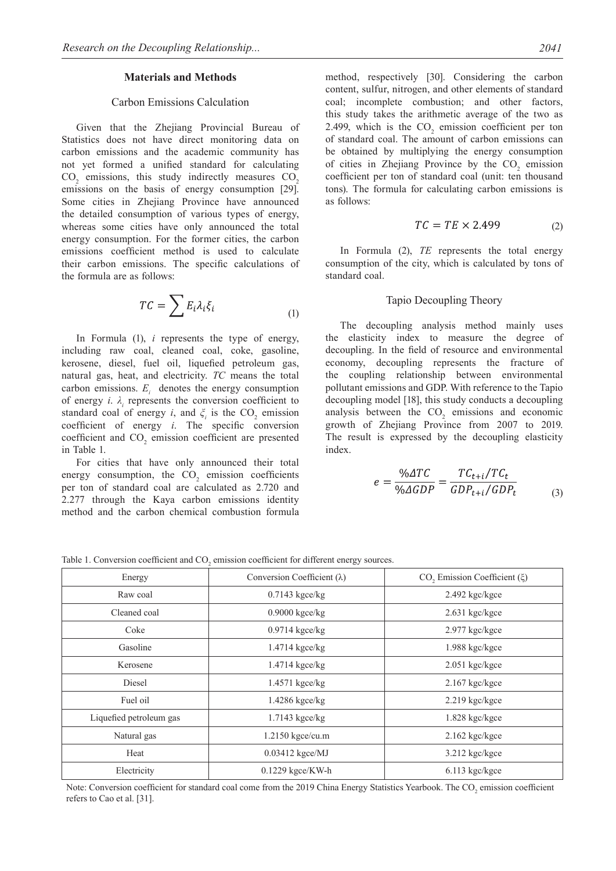#### **Materials and Methods**

## Carbon Emissions Calculation

Given that the Zhejiang Provincial Bureau of Statistics does not have direct monitoring data on carbon emissions and the academic community has not yet formed a unified standard for calculating  $CO<sub>2</sub>$  emissions, this study indirectly measures  $CO<sub>2</sub>$ emissions on the basis of energy consumption [29]. Some cities in Zhejiang Province have announced the detailed consumption of various types of energy, whereas some cities have only announced the total energy consumption. For the former cities, the carbon emissions coefficient method is used to calculate their carbon emissions. The specific calculations of the formula are as follows:

$$
TC = \sum E_i \lambda_i \xi_i \tag{1}
$$

In Formula (1), *i* represents the type of energy, including raw coal, cleaned coal, coke, gasoline, kerosene, diesel, fuel oil, liquefied petroleum gas, natural gas, heat, and electricity. *TC* means the total carbon emissions.  $E_i$  denotes the energy consumption of energy  $i$ .  $\lambda$ <sub>*i*</sub> represents the conversion coefficient to standard coal of energy *i*, and  $\xi$ <sup>*i*</sup> is the CO<sub>2</sub> emission coefficient of energy *i*. The specific conversion coefficient and  $CO<sub>2</sub>$  emission coefficient are presented in Table 1.

For cities that have only announced their total energy consumption, the  $CO_2$  emission coefficients per ton of standard coal are calculated as 2.720 and 2.277 through the Kaya carbon emissions identity method and the carbon chemical combustion formula

method, respectively [30]. Considering the carbon content, sulfur, nitrogen, and other elements of standard coal; incomplete combustion; and other factors, this study takes the arithmetic average of the two as 2.499, which is the  $CO_2$  emission coefficient per ton of standard coal. The amount of carbon emissions can be obtained by multiplying the energy consumption of cities in Zhejiang Province by the  $CO<sub>2</sub>$  emission coefficient per ton of standard coal (unit: ten thousand tons). The formula for calculating carbon emissions is as follows:

$$
TC = TE \times 2.499\tag{2}
$$

In Formula (2), *TE* represents the total energy consumption of the city, which is calculated by tons of standard coal.

#### Tapio Decoupling Theory

The decoupling analysis method mainly uses the elasticity index to measure the degree of decoupling. In the field of resource and environmental economy, decoupling represents the fracture of the coupling relationship between environmental pollutant emissions and GDP. With reference to the Tapio decoupling model [18], this study conducts a decoupling analysis between the  $CO<sub>2</sub>$  emissions and economic growth of Zhejiang Province from 2007 to 2019. The result is expressed by the decoupling elasticity index.

$$
e = \frac{\%ATC}{\%AGDP} = \frac{TC_{t+i}/TC_t}{GDP_{t+i}/GDP_t}
$$
\n(3)

Table 1. Conversion coefficient and  $CO<sub>2</sub>$  emission coefficient for different energy sources.

| Energy                  | Conversion Coefficient $(\lambda)$ | CO <sub>2</sub> Emission Coefficient $(\xi)$ |  |  |
|-------------------------|------------------------------------|----------------------------------------------|--|--|
| Raw coal                | $0.7143$ kgce/kg                   | $2.492$ kgc/kgce                             |  |  |
| Cleaned coal            | $0.9000$ kgce/kg                   | $2.631$ kgc/kgce                             |  |  |
| Coke                    | $0.9714$ kgce/kg                   | 2.977 kgc/kgce                               |  |  |
| Gasoline                | 1.4714 kgce/kg                     | 1.988 kgc/kgce                               |  |  |
| Kerosene                | 1.4714 kgce/kg                     | $2.051$ kgc/kgce                             |  |  |
| Diesel                  | $1.4571$ kgce/kg                   | $2.167$ kgc/kgce                             |  |  |
| Fuel oil                | $1.4286$ kgce/kg                   | $2.219$ kgc/kgce                             |  |  |
| Liquefied petroleum gas | $1.7143$ kgce/kg                   | $1.828$ kgc/kgce                             |  |  |
| Natural gas             | 1.2150 kgce/cu.m                   | $2.162$ kgc/kgce                             |  |  |
| Heat                    | $0.03412$ kgce/MJ                  | 3.212 kgc/kgce                               |  |  |
| Electricity             | $0.1229$ kgce/KW-h                 | $6.113$ kgc/kgce                             |  |  |

Note: Conversion coefficient for standard coal come from the 2019 China Energy Statistics Yearbook. The  $CO_2$  emission coefficient refers to Cao et al. [31].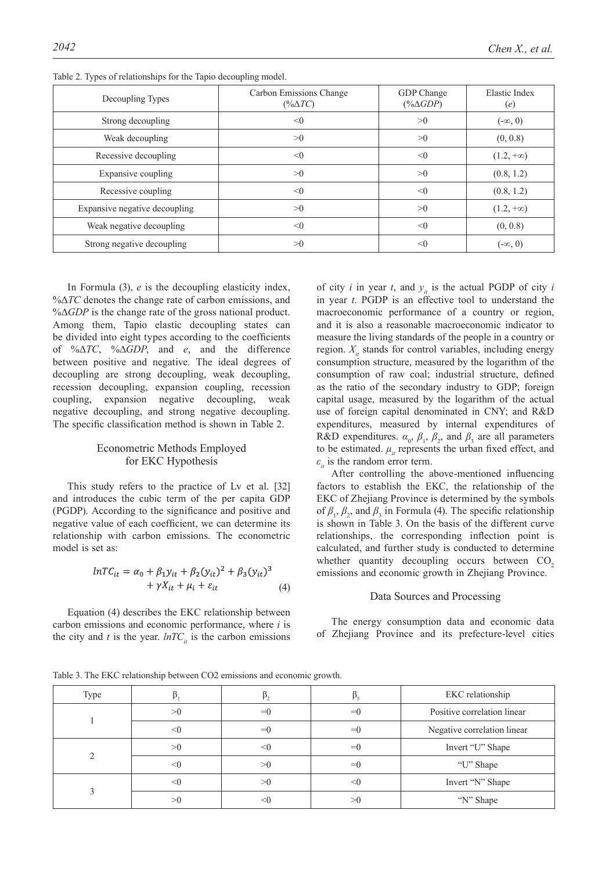| Decoupling Types              | Carbon Emissions Change<br>$(\% \Delta TC)$ | GDP Change<br>$(*\Delta GDP)$ | Elastic Index<br>(e) |  |
|-------------------------------|---------------------------------------------|-------------------------------|----------------------|--|
| Strong decoupling             | < 0                                         | >0                            | $(-\infty, 0)$       |  |
| Weak decoupling               | >0                                          | >0                            | (0, 0.8)             |  |
| Recessive decoupling          | < 0                                         | < 0                           | $(1.2, +\infty)$     |  |
| Expansive coupling            | >0                                          | >0                            | (0.8, 1.2)           |  |
| Recessive coupling            | < 0                                         | $\leq 0$                      | (0.8, 1.2)           |  |
| Expansive negative decoupling | >0                                          | >0                            | $(1.2, +\infty)$     |  |
| Weak negative decoupling      | < 0                                         | < 0                           | (0, 0.8)             |  |
| Strong negative decoupling    | >0                                          | < 0                           | $(-\infty, 0)$       |  |

Table 2. Types of relationships for the Tapio decoupling model.

In Formula (3), *e* is the decoupling elasticity index, %Δ*TC* denotes the change rate of carbon emissions, and %Δ*GDP* is the change rate of the gross national product. Among them, Tapio elastic decoupling states can be divided into eight types according to the coefficients of %Δ*TC*, %Δ*GDP*, and *e*, and the difference between positive and negative. The ideal degrees of decoupling are strong decoupling, weak decoupling, recession decoupling, expansion coupling, recession coupling, expansion negative decoupling, weak negative decoupling, and strong negative decoupling. The specific classification method is shown in Table 2.

## Econometric Methods Employed for EKC Hypothesis

This study refers to the practice of Lv et al. [32] and introduces the cubic term of the per capita GDP (PGDP). According to the significance and positive and negative value of each coefficient, we can determine its relationship with carbon emissions. The econometric model is set as:

$$
lnTC_{it} = \alpha_0 + \beta_1 y_{it} + \beta_2 (y_{it})^2 + \beta_3 (y_{it})^3 + \gamma X_{it} + \mu_i + \varepsilon_{it}
$$
 (4)

Equation (4) describes the EKC relationship between carbon emissions and economic performance, where *i* is the city and *t* is the year.  $lnTC_i$  is the carbon emissions of city *i* in year *t*, and  $y_i$  is the actual PGDP of city *i* in year *t*. PGDP is an effective tool to understand the macroeconomic performance of a country or region, and it is also a reasonable macroeconomic indicator to measure the living standards of the people in a country or region.  $X_i$  stands for control variables, including energy consumption structure, measured by the logarithm of the consumption of raw coal; industrial structure, defined as the ratio of the secondary industry to GDP; foreign capital usage, measured by the logarithm of the actual use of foreign capital denominated in CNY; and R&D expenditures, measured by internal expenditures of R&D expenditures.  $\alpha_0$ ,  $\beta_1$ ,  $\beta_2$ , and  $\beta_3$  are all parameters to be estimated.  $\mu_i$  represents the urban fixed effect, and  $\varepsilon$ <sup>*ith*</sup> is the random error term.

After controlling the above-mentioned influencing factors to establish the EKC, the relationship of the EKC of Zhejiang Province is determined by the symbols of  $\beta_1$ ,  $\beta_2$ , and  $\beta_3$  in Formula (4). The specific relationship is shown in Table 3. On the basis of the different curve relationships, the corresponding inflection point is calculated, and further study is conducted to determine whether quantity decoupling occurs between  $CO<sub>2</sub>$ emissions and economic growth in Zhejiang Province.

#### Data Sources and Processing

The energy consumption data and economic data of Zhejiang Province and its prefecture-level cities

Table 3. The EKC relationship between CO2 emissions and economic growth.

| Type |          |       |              | EKC relationship            |  |  |
|------|----------|-------|--------------|-----------------------------|--|--|
|      | >0       | $= 0$ | $=$ $\left($ | Positive correlation linear |  |  |
|      | $<$ 0    | $= 0$ | $=0$         | Negative correlation linear |  |  |
|      | >0       | <()   | $=$ $\left($ | Invert "U" Shape            |  |  |
|      | $\leq 0$ | >0    | $= 0$        | "U" Shape                   |  |  |
|      | < 0      | >0    |              | Invert "N" Shape            |  |  |
|      | >0       |       |              | "N" Shape                   |  |  |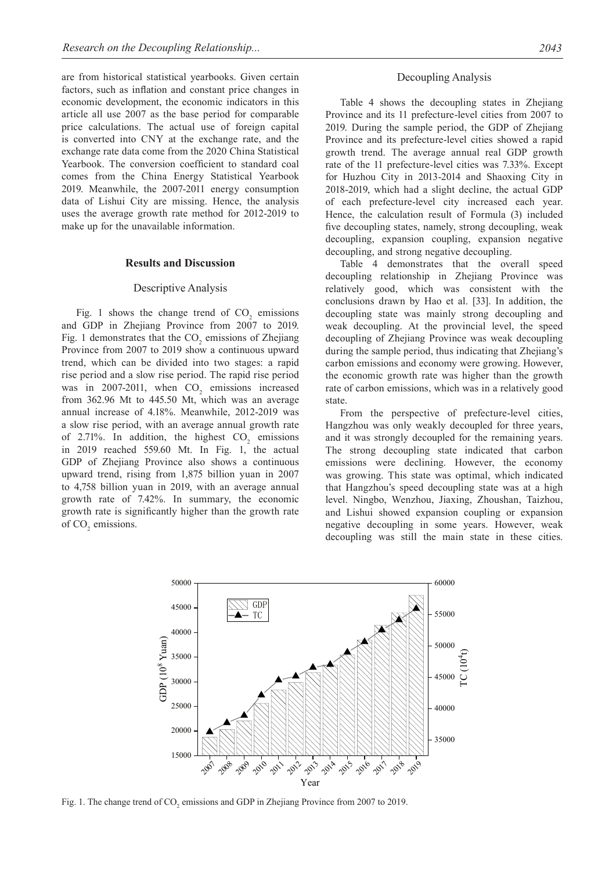are from historical statistical yearbooks. Given certain factors, such as inflation and constant price changes in economic development, the economic indicators in this article all use 2007 as the base period for comparable price calculations. The actual use of foreign capital is converted into CNY at the exchange rate, and the exchange rate data come from the 2020 China Statistical Yearbook. The conversion coefficient to standard coal comes from the China Energy Statistical Yearbook 2019. Meanwhile, the 2007-2011 energy consumption data of Lishui City are missing. Hence, the analysis uses the average growth rate method for 2012-2019 to make up for the unavailable information.

#### **Results and Discussion**

#### Descriptive Analysis

Fig. 1 shows the change trend of  $CO<sub>2</sub>$  emissions and GDP in Zhejiang Province from 2007 to 2019. Fig. 1 demonstrates that the  $CO_2$  emissions of Zhejiang Province from 2007 to 2019 show a continuous upward trend, which can be divided into two stages: a rapid rise period and a slow rise period. The rapid rise period was in 2007-2011, when  $CO<sub>2</sub>$  emissions increased from 362.96 Mt to 445.50 Mt, which was an average annual increase of 4.18%. Meanwhile, 2012-2019 was a slow rise period, with an average annual growth rate of 2.71%. In addition, the highest  $CO_2$  emissions in 2019 reached 559.60 Mt. In Fig. 1, the actual GDP of Zhejiang Province also shows a continuous upward trend, rising from 1,875 billion yuan in 2007 to 4,758 billion yuan in 2019, with an average annual growth rate of 7.42%. In summary, the economic growth rate is significantly higher than the growth rate of  $CO<sub>2</sub>$  emissions.

#### Decoupling Analysis

Table 4 shows the decoupling states in Zhejiang Province and its 11 prefecture-level cities from 2007 to 2019. During the sample period, the GDP of Zhejiang Province and its prefecture-level cities showed a rapid growth trend. The average annual real GDP growth rate of the 11 prefecture-level cities was 7.33%. Except for Huzhou City in 2013-2014 and Shaoxing City in 2018-2019, which had a slight decline, the actual GDP of each prefecture-level city increased each year. Hence, the calculation result of Formula (3) included five decoupling states, namely, strong decoupling, weak decoupling, expansion coupling, expansion negative decoupling, and strong negative decoupling.

Table 4 demonstrates that the overall speed decoupling relationship in Zhejiang Province was relatively good, which was consistent with the conclusions drawn by Hao et al. [33]. In addition, the decoupling state was mainly strong decoupling and weak decoupling. At the provincial level, the speed decoupling of Zhejiang Province was weak decoupling during the sample period, thus indicating that Zhejiang's carbon emissions and economy were growing. However, the economic growth rate was higher than the growth rate of carbon emissions, which was in a relatively good state.

From the perspective of prefecture-level cities, Hangzhou was only weakly decoupled for three years, and it was strongly decoupled for the remaining years. The strong decoupling state indicated that carbon emissions were declining. However, the economy was growing. This state was optimal, which indicated that Hangzhou's speed decoupling state was at a high level. Ningbo, Wenzhou, Jiaxing, Zhoushan, Taizhou, and Lishui showed expansion coupling or expansion negative decoupling in some years. However, weak decoupling was still the main state in these cities.



Fig. 1. The change trend of  $CO_2$  emissions and GDP in Zhejiang Province from 2007 to 2019.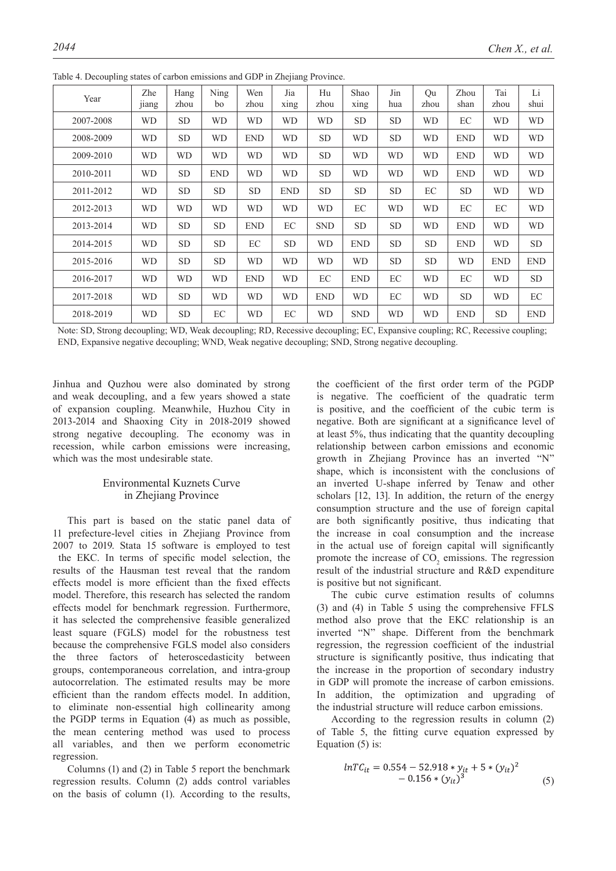| Year      | Zhe<br><sub>11</sub> ang | Hang<br>zhou | Ning<br>bo | Wen<br>zhou | Jia<br>xing | Hu<br>zhou | Shao<br>xing | Jin<br>hua | Qu<br>zhou | Zhou<br>shan | Tai<br>zhou | Li<br>shui |
|-----------|--------------------------|--------------|------------|-------------|-------------|------------|--------------|------------|------------|--------------|-------------|------------|
| 2007-2008 | WD                       | SD.          | WD         | <b>WD</b>   | WD          | <b>WD</b>  | <b>SD</b>    | <b>SD</b>  | WD         | EC           | <b>WD</b>   | <b>WD</b>  |
| 2008-2009 | WD                       | SD.          | WD         | <b>END</b>  | <b>WD</b>   | <b>SD</b>  | WD           | SD.        | WD         | <b>END</b>   | <b>WD</b>   | <b>WD</b>  |
| 2009-2010 | <b>WD</b>                | <b>WD</b>    | <b>WD</b>  | <b>WD</b>   | <b>WD</b>   | <b>SD</b>  | <b>WD</b>    | <b>WD</b>  | <b>WD</b>  | <b>END</b>   | <b>WD</b>   | <b>WD</b>  |
| 2010-2011 | WD                       | <b>SD</b>    | <b>END</b> | <b>WD</b>   | <b>WD</b>   | <b>SD</b>  | <b>WD</b>    | <b>WD</b>  | WD         | <b>END</b>   | <b>WD</b>   | <b>WD</b>  |
| 2011-2012 | <b>WD</b>                | <b>SD</b>    | <b>SD</b>  | <b>SD</b>   | <b>END</b>  | <b>SD</b>  | <b>SD</b>    | <b>SD</b>  | EC         | <b>SD</b>    | <b>WD</b>   | <b>WD</b>  |
| 2012-2013 | WD                       | <b>WD</b>    | WD         | <b>WD</b>   | <b>WD</b>   | <b>WD</b>  | EC           | <b>WD</b>  | <b>WD</b>  | EC           | EC          | <b>WD</b>  |
| 2013-2014 | WD                       | <b>SD</b>    | <b>SD</b>  | <b>END</b>  | EC          | <b>SND</b> | <b>SD</b>    | <b>SD</b>  | WD         | <b>END</b>   | <b>WD</b>   | <b>WD</b>  |
| 2014-2015 | <b>WD</b>                | <b>SD</b>    | <b>SD</b>  | EC          | <b>SD</b>   | <b>WD</b>  | <b>END</b>   | <b>SD</b>  | <b>SD</b>  | <b>END</b>   | <b>WD</b>   | <b>SD</b>  |
| 2015-2016 | <b>WD</b>                | <b>SD</b>    | <b>SD</b>  | <b>WD</b>   | <b>WD</b>   | <b>WD</b>  | <b>WD</b>    | <b>SD</b>  | <b>SD</b>  | <b>WD</b>    | <b>END</b>  | <b>END</b> |
| 2016-2017 | WD                       | <b>WD</b>    | WD         | <b>END</b>  | <b>WD</b>   | EC         | <b>END</b>   | EC         | WD         | EC           | <b>WD</b>   | <b>SD</b>  |
| 2017-2018 | WD                       | <b>SD</b>    | <b>WD</b>  | <b>WD</b>   | <b>WD</b>   | <b>END</b> | <b>WD</b>    | EC         | <b>WD</b>  | <b>SD</b>    | <b>WD</b>   | EC         |
| 2018-2019 | WD                       | <b>SD</b>    | EC         | <b>WD</b>   | EC          | <b>WD</b>  | <b>SND</b>   | <b>WD</b>  | WD         | <b>END</b>   | <b>SD</b>   | <b>END</b> |

Table 4. Decoupling states of carbon emissions and GDP in Zhejiang Province.

Note: SD, Strong decoupling; WD, Weak decoupling; RD, Recessive decoupling; EC, Expansive coupling; RC, Recessive coupling; END, Expansive negative decoupling; WND, Weak negative decoupling; SND, Strong negative decoupling.

Jinhua and Quzhou were also dominated by strong and weak decoupling, and a few years showed a state of expansion coupling. Meanwhile, Huzhou City in 2013-2014 and Shaoxing City in 2018-2019 showed strong negative decoupling. The economy was in recession, while carbon emissions were increasing, which was the most undesirable state.

## Environmental Kuznets Curve in Zhejiang Province

This part is based on the static panel data of 11 prefecture-level cities in Zhejiang Province from 2007 to 2019. Stata 15 software is employed to test the EKC. In terms of specific model selection, the results of the Hausman test reveal that the random effects model is more efficient than the fixed effects model. Therefore, this research has selected the random effects model for benchmark regression. Furthermore, it has selected the comprehensive feasible generalized least square (FGLS) model for the robustness test because the comprehensive FGLS model also considers the three factors of heteroscedasticity between groups, contemporaneous correlation, and intra-group autocorrelation. The estimated results may be more efficient than the random effects model. In addition, to eliminate non-essential high collinearity among the PGDP terms in Equation (4) as much as possible, the mean centering method was used to process all variables, and then we perform econometric regression.

Columns (1) and (2) in Table 5 report the benchmark regression results. Column (2) adds control variables on the basis of column (1). According to the results, the coefficient of the first order term of the PGDP is negative. The coefficient of the quadratic term is positive, and the coefficient of the cubic term is negative. Both are significant at a significance level of at least 5%, thus indicating that the quantity decoupling relationship between carbon emissions and economic growth in Zhejiang Province has an inverted "N" shape, which is inconsistent with the conclusions of an inverted U-shape inferred by Tenaw and other scholars [12, 13]. In addition, the return of the energy consumption structure and the use of foreign capital are both significantly positive, thus indicating that the increase in coal consumption and the increase in the actual use of foreign capital will significantly promote the increase of  $CO<sub>2</sub>$  emissions. The regression result of the industrial structure and R&D expenditure is positive but not significant.

The cubic curve estimation results of columns (3) and (4) in Table 5 using the comprehensive FFLS method also prove that the EKC relationship is an inverted "N" shape. Different from the benchmark regression, the regression coefficient of the industrial structure is significantly positive, thus indicating that the increase in the proportion of secondary industry in GDP will promote the increase of carbon emissions. In addition, the optimization and upgrading of the industrial structure will reduce carbon emissions.

According to the regression results in column (2) of Table 5, the fitting curve equation expressed by Equation (5) is:

$$
lnTC_{it} = 0.554 - 52.918 * y_{it} + 5 * (y_{it})^2 - 0.156 * (y_{it})^3
$$
\n(5)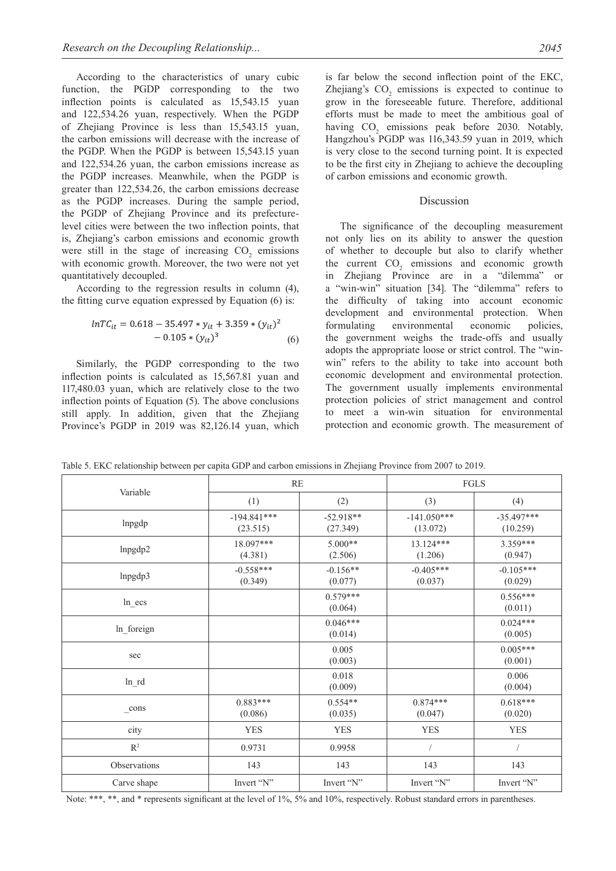According to the characteristics of unary cubic function, the PGDP corresponding to the two inflection points is calculated as 15,543.15 yuan and 122,534.26 yuan, respectively. When the PGDP of Zhejiang Province is less than 15,543.15 yuan, the carbon emissions will decrease with the increase of the PGDP. When the PGDP is between 15,543.15 yuan and 122,534.26 yuan, the carbon emissions increase as the PGDP increases. Meanwhile, when the PGDP is greater than 122,534.26, the carbon emissions decrease as the PGDP increases. During the sample period, the PGDP of Zhejiang Province and its prefecturelevel cities were between the two inflection points, that is, Zhejiang's carbon emissions and economic growth were still in the stage of increasing  $CO<sub>2</sub>$  emissions with economic growth. Moreover, the two were not yet quantitatively decoupled.

According to the regression results in column (4), the fitting curve equation expressed by Equation (6) is:

$$
lnTC_{it} = 0.618 - 35.497 * y_{it} + 3.359 * (y_{it})^2 - 0.105 * (y_{it})^3
$$
 (6)

Similarly, the PGDP corresponding to the two inflection points is calculated as 15,567.81 yuan and 117,480.03 yuan, which are relatively close to the two inflection points of Equation (5). The above conclusions still apply. In addition, given that the Zhejiang Province's PGDP in 2019 was 82,126.14 yuan, which

is far below the second inflection point of the EKC, Zhejiang's  $CO<sub>2</sub>$  emissions is expected to continue to grow in the foreseeable future. Therefore, additional efforts must be made to meet the ambitious goal of having  $CO_2$  emissions peak before 2030. Notably, Hangzhou's PGDP was 116,343.59 yuan in 2019, which is very close to the second turning point. It is expected to be the first city in Zhejiang to achieve the decoupling of carbon emissions and economic growth.

#### Discussion

The significance of the decoupling measurement not only lies on its ability to answer the question of whether to decouple but also to clarify whether the current  $CO<sub>2</sub>$  emissions and economic growth in Zhejiang Province are in a "dilemma" or a "win-win" situation [34]. The "dilemma" refers to the difficulty of taking into account economic development and environmental protection. When formulating environmental economic policies, the government weighs the trade-offs and usually adopts the appropriate loose or strict control. The "winwin" refers to the ability to take into account both economic development and environmental protection. The government usually implements environmental protection policies of strict management and control to meet a win-win situation for environmental protection and economic growth. The measurement of

| Table 5. EKC relationship between per capita GDP and carbon emissions in Zhejiang Province from 2007 to 2019. |
|---------------------------------------------------------------------------------------------------------------|
|---------------------------------------------------------------------------------------------------------------|

| Variable          | RE                        |                         | FGLS                      |                          |  |
|-------------------|---------------------------|-------------------------|---------------------------|--------------------------|--|
|                   | (1)                       | (2)                     | (3)                       | (4)                      |  |
| Inpgdp            | $-194.841***$<br>(23.515) | $-52.918**$<br>(27.349) | $-141.050***$<br>(13.072) | $-35.497***$<br>(10.259) |  |
| lnpgdp2           | 18.097***<br>(4.381)      | $5.000**$<br>(2.506)    | 13.124***<br>(1.206)      | 3.359***<br>(0.947)      |  |
| lnpgdp3           | $-0.558***$<br>(0.349)    | $-0.156**$<br>(0.077)   | $-0.405***$<br>(0.037)    | $-0.105***$<br>(0.029)   |  |
| $ln\_ecs$         |                           | $0.579***$<br>(0.064)   |                           | $0.556***$<br>(0.011)    |  |
| ln_foreign        |                           | $0.046***$<br>(0.014)   |                           | $0.024***$<br>(0.005)    |  |
| sec               |                           | 0.005<br>(0.003)        |                           | $0.005***$<br>(0.001)    |  |
| $ln\_rd$          |                           | 0.018<br>(0.009)        |                           | 0.006<br>(0.004)         |  |
| $\mathsf{\_}cons$ | $0.883***$<br>(0.086)     | $0.554**$<br>(0.035)    | $0.874***$<br>(0.047)     | $0.618***$<br>(0.020)    |  |
| city              | <b>YES</b>                | <b>YES</b>              | <b>YES</b>                | <b>YES</b>               |  |
| $R^2$             | 0.9731                    | 0.9958                  | $\sqrt{2}$                | $\sqrt{2}$               |  |
| Observations      | 143                       | 143                     | 143                       | 143                      |  |
| Carve shape       | Invert "N"                | Invert "N"              | Invert "N"                | Invert "N"               |  |

Note: \*\*\*, \*\*, and \* represents significant at the level of 1%, 5% and 10%, respectively. Robust standard errors in parentheses.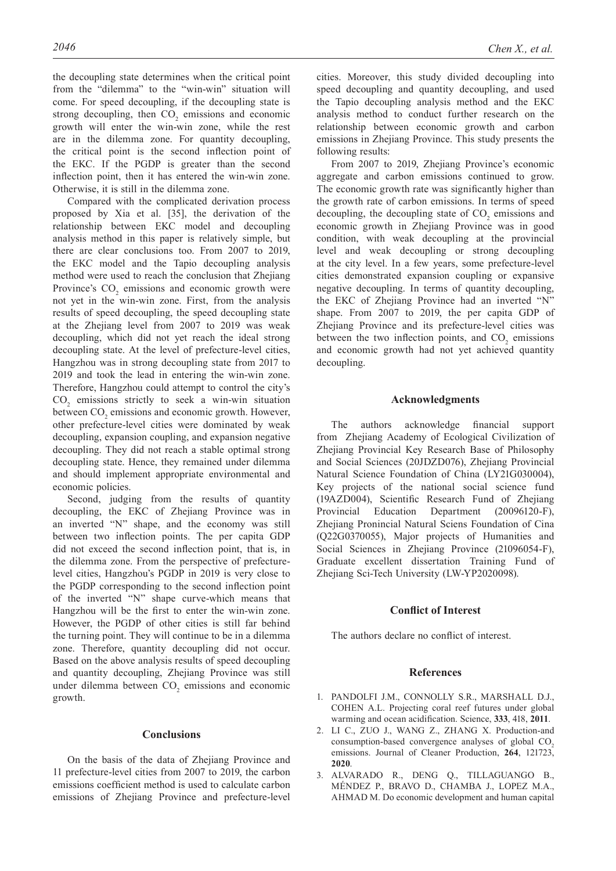the decoupling state determines when the critical point from the "dilemma" to the "win-win" situation will come. For speed decoupling, if the decoupling state is strong decoupling, then  $CO<sub>2</sub>$  emissions and economic growth will enter the win-win zone, while the rest are in the dilemma zone. For quantity decoupling, the critical point is the second inflection point of the EKC. If the PGDP is greater than the second inflection point, then it has entered the win-win zone. Otherwise, it is still in the dilemma zone.

Compared with the complicated derivation process proposed by Xia et al. [35], the derivation of the relationship between EKC model and decoupling analysis method in this paper is relatively simple, but there are clear conclusions too. From 2007 to 2019, the EKC model and the Tapio decoupling analysis method were used to reach the conclusion that Zhejiang Province's  $CO<sub>2</sub>$  emissions and economic growth were not yet in the win-win zone. First, from the analysis results of speed decoupling, the speed decoupling state at the Zhejiang level from 2007 to 2019 was weak decoupling, which did not yet reach the ideal strong decoupling state. At the level of prefecture-level cities, Hangzhou was in strong decoupling state from 2017 to 2019 and took the lead in entering the win-win zone. Therefore, Hangzhou could attempt to control the city's  $CO<sub>2</sub>$  emissions strictly to seek a win-win situation between  $CO<sub>2</sub>$  emissions and economic growth. However, other prefecture-level cities were dominated by weak decoupling, expansion coupling, and expansion negative decoupling. They did not reach a stable optimal strong decoupling state. Hence, they remained under dilemma and should implement appropriate environmental and economic policies.

Second, judging from the results of quantity decoupling, the EKC of Zhejiang Province was in an inverted "N" shape, and the economy was still between two inflection points. The per capita GDP did not exceed the second inflection point, that is, in the dilemma zone. From the perspective of prefecturelevel cities, Hangzhou's PGDP in 2019 is very close to the PGDP corresponding to the second inflection point of the inverted "N" shape curve-which means that Hangzhou will be the first to enter the win-win zone. However, the PGDP of other cities is still far behind the turning point. They will continue to be in a dilemma zone. Therefore, quantity decoupling did not occur. Based on the above analysis results of speed decoupling and quantity decoupling, Zhejiang Province was still under dilemma between  $CO<sub>2</sub>$  emissions and economic growth.

## **Conclusions**

On the basis of the data of Zhejiang Province and 11 prefecture-level cities from 2007 to 2019, the carbon emissions coefficient method is used to calculate carbon emissions of Zhejiang Province and prefecture-level cities. Moreover, this study divided decoupling into speed decoupling and quantity decoupling, and used the Tapio decoupling analysis method and the EKC analysis method to conduct further research on the relationship between economic growth and carbon emissions in Zhejiang Province. This study presents the following results:

From 2007 to 2019, Zhejiang Province's economic aggregate and carbon emissions continued to grow. The economic growth rate was significantly higher than the growth rate of carbon emissions. In terms of speed decoupling, the decoupling state of  $CO<sub>2</sub>$  emissions and economic growth in Zhejiang Province was in good condition, with weak decoupling at the provincial level and weak decoupling or strong decoupling at the city level. In a few years, some prefecture-level cities demonstrated expansion coupling or expansive negative decoupling. In terms of quantity decoupling, the EKC of Zhejiang Province had an inverted "N" shape. From 2007 to 2019, the per capita GDP of Zhejiang Province and its prefecture-level cities was between the two inflection points, and  $CO<sub>2</sub>$  emissions and economic growth had not yet achieved quantity decoupling.

## **Acknowledgments**

The authors acknowledge financial support from Zhejiang Academy of Ecological Civilization of Zhejiang Provincial Key Research Base of Philosophy and Social Sciences (20JDZD076), Zhejiang Provincial Natural Science Foundation of China (LY21G030004), Key projects of the national social science fund (19AZD004), Scientific Research Fund of Zhejiang Provincial Education Department (20096120-F), Zhejiang Pronincial Natural Sciens Foundation of Cina (Q22G0370055), Major projects of Humanities and Social Sciences in Zhejiang Province (21096054-F), Graduate excellent dissertation Training Fund of Zhejiang Sci-Tech University (LW-YP2020098).

## **Conflict of Interest**

The authors declare no conflict of interest.

## **References**

- 1. Pandolfi J.M., Connolly S.R., Marshall D.J., Cohen A.L. Projecting coral reef futures under global warming and ocean acidification. Science, **333**, 418, **2011**.
- 2. Li C., Zuo J., Wang Z., Zhang X. Production-and consumption-based convergence analyses of global CO<sub>2</sub> emissions. Journal of Cleaner Production, **264**, 121723, **2020**.
- 3. Alvarado R., Deng Q., Tillaguango B., Méndez P., Bravo D., Chamba J., Lopez M.A., AHMAD M. Do economic development and human capital